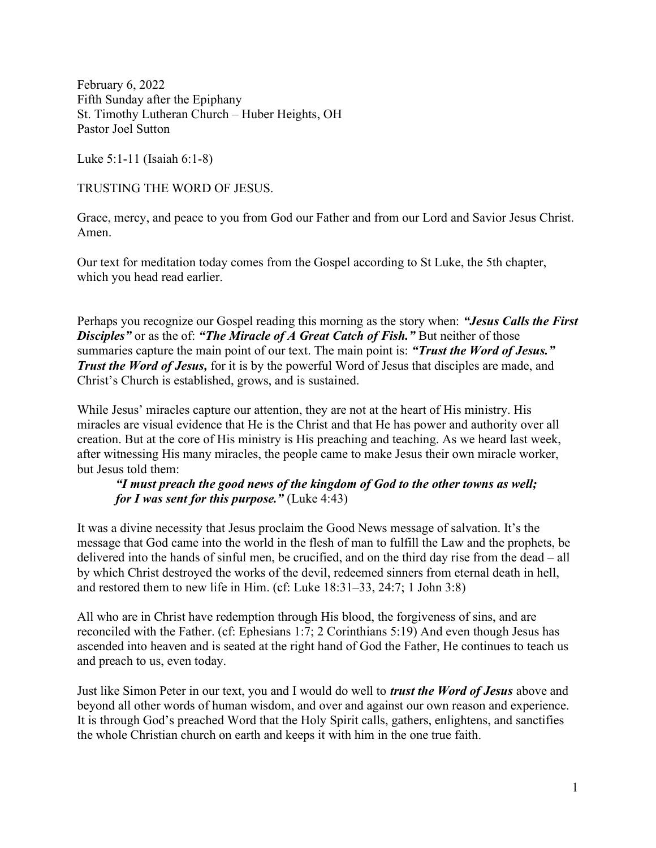February 6, 2022 Fifth Sunday after the Epiphany St. Timothy Lutheran Church – Huber Heights, OH Pastor Joel Sutton

Luke 5:1-11 (Isaiah 6:1-8)

TRUSTING THE WORD OF JESUS.

Grace, mercy, and peace to you from God our Father and from our Lord and Savior Jesus Christ. Amen.

Our text for meditation today comes from the Gospel according to St Luke, the 5th chapter, which you head read earlier.

Perhaps you recognize our Gospel reading this morning as the story when: "Jesus Calls the First **Disciples**" or as the of: "The Miracle of A Great Catch of Fish." But neither of those summaries capture the main point of our text. The main point is: "Trust the Word of Jesus." Trust the Word of Jesus, for it is by the powerful Word of Jesus that disciples are made, and Christ's Church is established, grows, and is sustained.

While Jesus' miracles capture our attention, they are not at the heart of His ministry. His miracles are visual evidence that He is the Christ and that He has power and authority over all creation. But at the core of His ministry is His preaching and teaching. As we heard last week, after witnessing His many miracles, the people came to make Jesus their own miracle worker, but Jesus told them:

"I must preach the good news of the kingdom of God to the other towns as well; for I was sent for this purpose." (Luke  $4:43$ )

It was a divine necessity that Jesus proclaim the Good News message of salvation. It's the message that God came into the world in the flesh of man to fulfill the Law and the prophets, be delivered into the hands of sinful men, be crucified, and on the third day rise from the dead – all by which Christ destroyed the works of the devil, redeemed sinners from eternal death in hell, and restored them to new life in Him. (cf: Luke 18:31–33, 24:7; 1 John 3:8)

All who are in Christ have redemption through His blood, the forgiveness of sins, and are reconciled with the Father. (cf: Ephesians 1:7; 2 Corinthians 5:19) And even though Jesus has ascended into heaven and is seated at the right hand of God the Father, He continues to teach us and preach to us, even today.

Just like Simon Peter in our text, you and I would do well to *trust the Word of Jesus* above and beyond all other words of human wisdom, and over and against our own reason and experience. It is through God's preached Word that the Holy Spirit calls, gathers, enlightens, and sanctifies the whole Christian church on earth and keeps it with him in the one true faith.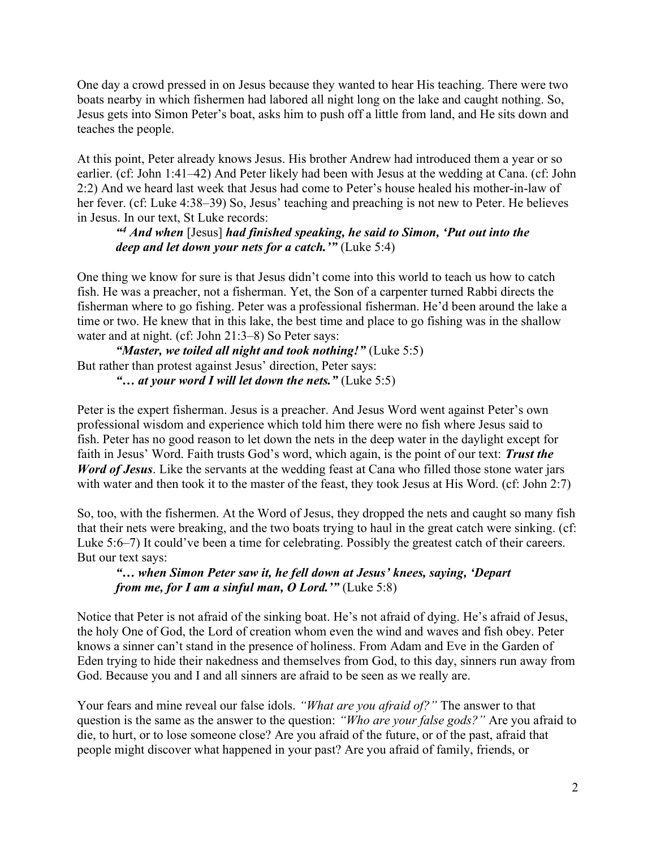One day a crowd pressed in on Jesus because they wanted to hear His teaching. There were two boats nearby in which fishermen had labored all night long on the lake and caught nothing. So, Jesus gets into Simon Peter's boat, asks him to push off a little from land, and He sits down and teaches the people.

At this point, Peter already knows Jesus. His brother Andrew had introduced them a year or so earlier. (cf: John 1:41–42) And Peter likely had been with Jesus at the wedding at Cana. (cf: John 2:2) And we heard last week that Jesus had come to Peter's house healed his mother-in-law of her fever. (cf: Luke 4:38–39) So, Jesus' teaching and preaching is not new to Peter. He believes in Jesus. In our text, St Luke records:

## <sup>44</sup> And when [Jesus] had finished speaking, he said to Simon, 'Put out into the deep and let down your nets for a catch."  $(Luke 5:4)$

One thing we know for sure is that Jesus didn't come into this world to teach us how to catch fish. He was a preacher, not a fisherman. Yet, the Son of a carpenter turned Rabbi directs the fisherman where to go fishing. Peter was a professional fisherman. He'd been around the lake a time or two. He knew that in this lake, the best time and place to go fishing was in the shallow water and at night. (cf: John 21:3–8) So Peter says:

"Master, we toiled all night and took nothing!" (Luke 5:5) But rather than protest against Jesus' direction, Peter says: "... at your word I will let down the nets." (Luke  $5:5$ )

Peter is the expert fisherman. Jesus is a preacher. And Jesus Word went against Peter's own professional wisdom and experience which told him there were no fish where Jesus said to fish. Peter has no good reason to let down the nets in the deep water in the daylight except for faith in Jesus' Word. Faith trusts God's word, which again, is the point of our text: Trust the Word of Jesus. Like the servants at the wedding feast at Cana who filled those stone water jars with water and then took it to the master of the feast, they took Jesus at His Word. (cf: John 2:7)

So, too, with the fishermen. At the Word of Jesus, they dropped the nets and caught so many fish that their nets were breaking, and the two boats trying to haul in the great catch were sinking. (cf: Luke 5:6–7) It could've been a time for celebrating. Possibly the greatest catch of their careers. But our text says:

"… when Simon Peter saw it, he fell down at Jesus' knees, saying, 'Depart from me, for I am a sinful man, O Lord.'" (Luke 5:8)

Notice that Peter is not afraid of the sinking boat. He's not afraid of dying. He's afraid of Jesus, the holy One of God, the Lord of creation whom even the wind and waves and fish obey. Peter knows a sinner can't stand in the presence of holiness. From Adam and Eve in the Garden of Eden trying to hide their nakedness and themselves from God, to this day, sinners run away from God. Because you and I and all sinners are afraid to be seen as we really are.

Your fears and mine reveal our false idols. "What are you afraid of?" The answer to that question is the same as the answer to the question: "Who are your false gods?" Are you afraid to die, to hurt, or to lose someone close? Are you afraid of the future, or of the past, afraid that people might discover what happened in your past? Are you afraid of family, friends, or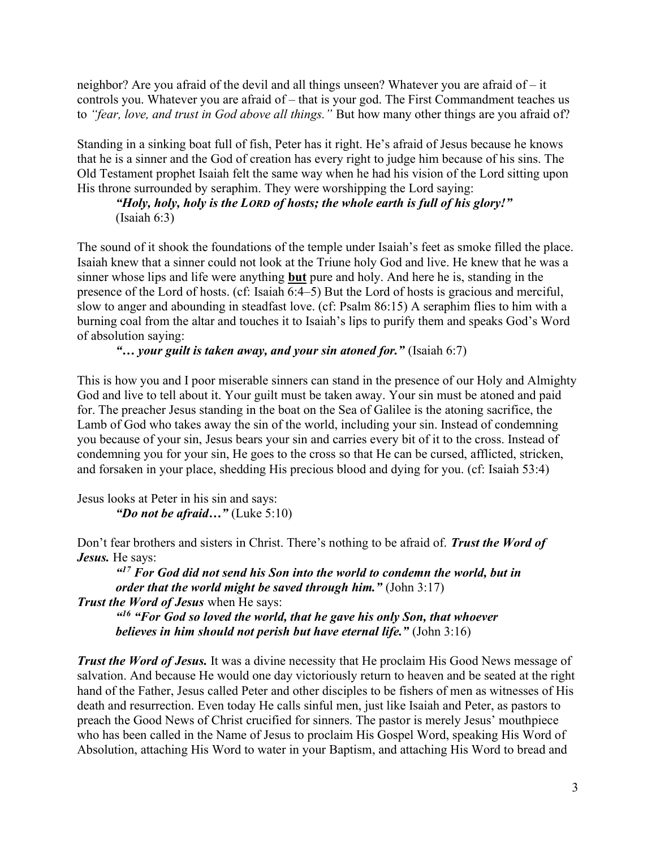neighbor? Are you afraid of the devil and all things unseen? Whatever you are afraid of – it controls you. Whatever you are afraid of – that is your god. The First Commandment teaches us to "fear, love, and trust in God above all things." But how many other things are you afraid of?

Standing in a sinking boat full of fish, Peter has it right. He's afraid of Jesus because he knows that he is a sinner and the God of creation has every right to judge him because of his sins. The Old Testament prophet Isaiah felt the same way when he had his vision of the Lord sitting upon His throne surrounded by seraphim. They were worshipping the Lord saying:

"Holy, holy, holy is the LORD of hosts; the whole earth is full of his glory!" (Isaiah 6:3)

The sound of it shook the foundations of the temple under Isaiah's feet as smoke filled the place. Isaiah knew that a sinner could not look at the Triune holy God and live. He knew that he was a sinner whose lips and life were anything but pure and holy. And here he is, standing in the presence of the Lord of hosts. (cf: Isaiah 6:4–5) But the Lord of hosts is gracious and merciful, slow to anger and abounding in steadfast love. (cf: Psalm 86:15) A seraphim flies to him with a burning coal from the altar and touches it to Isaiah's lips to purify them and speaks God's Word of absolution saying:

"... your guilt is taken away, and your sin atoned for." (Isaiah  $6:7$ )

This is how you and I poor miserable sinners can stand in the presence of our Holy and Almighty God and live to tell about it. Your guilt must be taken away. Your sin must be atoned and paid for. The preacher Jesus standing in the boat on the Sea of Galilee is the atoning sacrifice, the Lamb of God who takes away the sin of the world, including your sin. Instead of condemning you because of your sin, Jesus bears your sin and carries every bit of it to the cross. Instead of condemning you for your sin, He goes to the cross so that He can be cursed, afflicted, stricken, and forsaken in your place, shedding His precious blood and dying for you. (cf: Isaiah 53:4)

Jesus looks at Peter in his sin and says: "Do not be afraid..." (Luke  $5:10$ )

Don't fear brothers and sisters in Christ. There's nothing to be afraid of. Trust the Word of Jesus. He says:

 $17$  For God did not send his Son into the world to condemn the world, but in order that the world might be saved through him." (John  $3:17$ )

Trust the Word of Jesus when He says:

<sup>a16</sup> "For God so loved the world, that he gave his only Son, that whoever believes in him should not perish but have eternal life." (John 3:16)

**Trust the Word of Jesus.** It was a divine necessity that He proclaim His Good News message of salvation. And because He would one day victoriously return to heaven and be seated at the right hand of the Father, Jesus called Peter and other disciples to be fishers of men as witnesses of His death and resurrection. Even today He calls sinful men, just like Isaiah and Peter, as pastors to preach the Good News of Christ crucified for sinners. The pastor is merely Jesus' mouthpiece who has been called in the Name of Jesus to proclaim His Gospel Word, speaking His Word of Absolution, attaching His Word to water in your Baptism, and attaching His Word to bread and